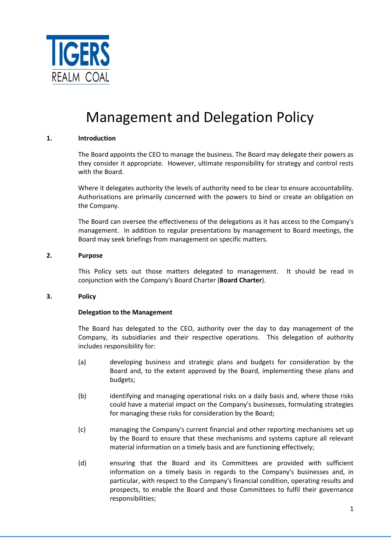

# Management and Delegation Policy

## **1. Introduction**

The Board appoints the CEO to manage the business. The Board may delegate their powers as they consider it appropriate. However, ultimate responsibility for strategy and control rests with the Board.

Where it delegates authority the levels of authority need to be clear to ensure accountability. Authorisations are primarily concerned with the powers to bind or create an obligation on the Company.

The Board can oversee the effectiveness of the delegations as it has access to the Company's management. In addition to regular presentations by management to Board meetings, the Board may seek briefings from management on specific matters.

#### **2. Purpose**

This Policy sets out those matters delegated to management. It should be read in conjunction with the Company's Board Charter (**Board Charter**).

#### **3. Policy**

#### **Delegation to the Management**

The Board has delegated to the CEO, authority over the day to day management of the Company, its subsidiaries and their respective operations. This delegation of authority includes responsibility for:

- (a) developing business and strategic plans and budgets for consideration by the Board and, to the extent approved by the Board, implementing these plans and budgets;
- (b) identifying and managing operational risks on a daily basis and, where those risks could have a material impact on the Company's businesses, formulating strategies for managing these risks for consideration by the Board;
- (c) managing the Company's current financial and other reporting mechanisms set up by the Board to ensure that these mechanisms and systems capture all relevant material information on a timely basis and are functioning effectively;
- (d) ensuring that the Board and its Committees are provided with sufficient information on a timely basis in regards to the Company's businesses and, in particular, with respect to the Company's financial condition, operating results and prospects, to enable the Board and those Committees to fulfil their governance responsibilities;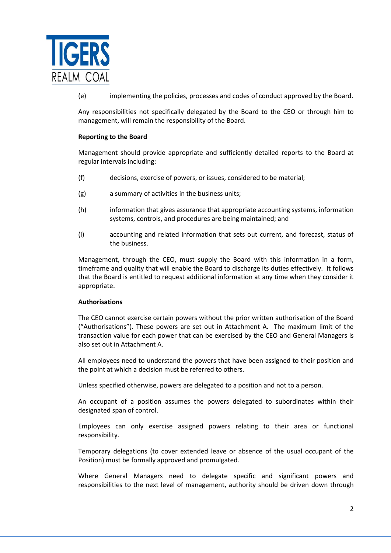

(e) implementing the policies, processes and codes of conduct approved by the Board.

Any responsibilities not specifically delegated by the Board to the CEO or through him to management, will remain the responsibility of the Board.

#### **Reporting to the Board**

Management should provide appropriate and sufficiently detailed reports to the Board at regular intervals including:

- (f) decisions, exercise of powers, or issues, considered to be material;
- (g) a summary of activities in the business units;
- (h) information that gives assurance that appropriate accounting systems, information systems, controls, and procedures are being maintained; and
- (i) accounting and related information that sets out current, and forecast, status of the business.

Management, through the CEO, must supply the Board with this information in a form, timeframe and quality that will enable the Board to discharge its duties effectively. It follows that the Board is entitled to request additional information at any time when they consider it appropriate.

#### **Authorisations**

The CEO cannot exercise certain powers without the prior written authorisation of the Board ("Authorisations"). These powers are set out in Attachment A. The maximum limit of the transaction value for each power that can be exercised by the CEO and General Managers is also set out in Attachment A.

All employees need to understand the powers that have been assigned to their position and the point at which a decision must be referred to others.

Unless specified otherwise, powers are delegated to a position and not to a person.

An occupant of a position assumes the powers delegated to subordinates within their designated span of control.

Employees can only exercise assigned powers relating to their area or functional responsibility.

Temporary delegations (to cover extended leave or absence of the usual occupant of the Position) must be formally approved and promulgated.

Where General Managers need to delegate specific and significant powers and responsibilities to the next level of management, authority should be driven down through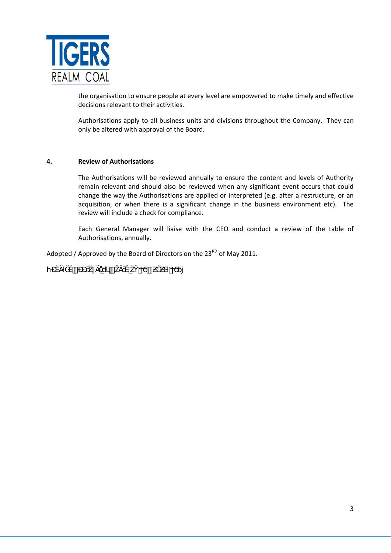

the organisation to ensure people at every level are empowered to make timely and effective decisions relevant to their activities.

Authorisations apply to all business units and divisions throughout the Company. They can only be altered with approval of the Board.

## **4. Review of Authorisations**

The Authorisations will be reviewed annually to ensure the content and levels of Authority remain relevant and should also be reviewed when any significant event occurs that could change the way the Authorisations are applied or interpreted (e.g. after a restructure, or an acquisition, or when there is a significant change in the business environment etc). The review will include a check for compliance.

Each General Manager will liaise with the CEO and conduct a review of the table of Authorisations, annually.

Adopted / Approved by the Board of Directors on the  $23<sup>RD</sup>$  of May 2011.

hƉĚĂƚĞĚƉƉƌŽǀĂůďLJŽĂƌĚŽŶϯϬƵŐƵƐƚϮϬϭϳ